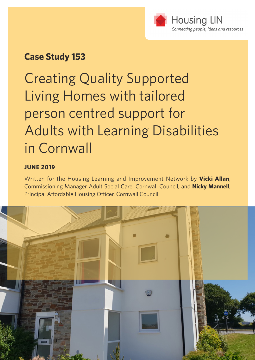

### **Case Study 153**

Creating Quality Supported Living Homes with tailored person centred support for Adults with Learning Disabilities in Cornwall

### **JUNE 2019**

Written for the Housing Learning and Improvement Network by **Vicki Allan**, Commissioning Manager Adult Social Care, Cornwall Council, and **Nicky Mannell**, Principal Affordable Housing Officer, Cornwall Council

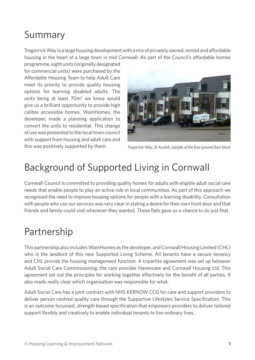### Summary

Tregorrick Way is a large housing development with a mix of privately owned, rented and affordable housing in the heart of a large town in mid Cornwall. As part of the Council's affordable homes

programme, eight units (originally designated for commercial units) were purchased by the Affordable Housing Team to help Adult Care meet its priority to provide quality housing options for learning disabled adults. The units being at least 70m<sup>2</sup> we knew would give us a brilliant opportunity to provide high calibre accessible homes. WainHomes, the developer, made a planning application to convert the units to residential. This change of use was presented to the local town council with support from housing and adult care and this was positively supported by them.



*Tregorrick Way, St Austell, outside of the four ground floor block*

# Background of Supported Living in Cornwall

Cornwall Council is committed to providing quality homes for adults with eligible adult social care needs that enable people to play an active role in local communities. As part of this approach we recognised the need to improve housing options for people with a learning disability. Consultation with people who use our services was very clear in stating a desire for their own front door and that friends and family could visit whenever they wanted. These flats gave us a chance to do just that.

### Partnership

This partnership also includes WainHomes as the developer, and Cornwall Housing Limited (CHL) who is the landlord of this new Supported Living Scheme. All tenants have a secure tenancy and CHL provide the housing management function. A tripartite agreement was set up between Adult Social Care Commissioning, the care provider Havencare and Cornwall Housing Ltd. This agreement set out the principles for working together effectively for the benefit of all parties. It also made really clear which organisation was responsible for what.

Adult Social Care has a joint contract with NHS KERNOW CCG for care and support providers to deliver person centred quality care through the Supportive Lifestyles Service Specification. This is an outcome focussed, strength based specification that empowers providers to deliver tailored support flexibly and creatively to enable individual tenants to live ordinary lives.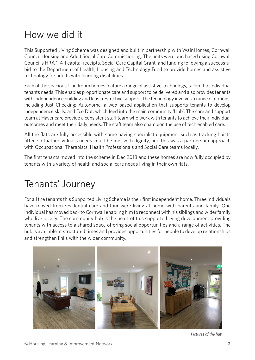### How we did it

This Supported Living Scheme was designed and built in partnership with WainHomes, Cornwall Council Housing and Adult Social Care Commissioning. The units were purchased using Cornwall Council's HRA 1-4-1 capital receipts, Social Care Capital Grant, and funding following a successful bid to the Department of Health, Housing and Technology Fund to provide homes and assistive technology for adults with learning disabilities.

Each of the spacious 1-bedroom homes feature a range of assistive-technology, tailored to individual tenants needs. This enables proportionate care and support to be delivered and also provides tenants with independence building and least restrictive support. The technology involves a range of options, including Just Checking; Autonome, a web based application that supports tenants to develop independence skills; and Eco Dot, which feed into the main community 'Hub'. The care and support team at Havencare provide a consistent staff team who work with tenants to achieve their individual outcomes and meet their daily needs. The staff team also champion the use of tech enabled care.

All the flats are fully accessible with some having specialist equipment such as tracking hoists fitted so that individual's needs could be met with dignity, and this was a partnership approach with Occupational Therapists, Health Professionals and Social Care teams locally.

The first tenants moved into the scheme in Dec 2018 and these homes are now fully occupied by tenants with a variety of health and social care needs living in their own flats.

### Tenants' Journey

For all the tenants this Supported Living Scheme is their first independent home. Three individuals have moved from residential care and four were living at home with parents and family. One individual has moved back to Cornwall enabling him to reconnect with his siblings and wider family who live locally. The community hub is the heart of this supported living development providing tenants with access to a shared space offering social opportunities and a range of activities. The hub is available at structured times and provides opportunities for people to develop relationships and strengthen links with the wider community.



*Pictures of the hub*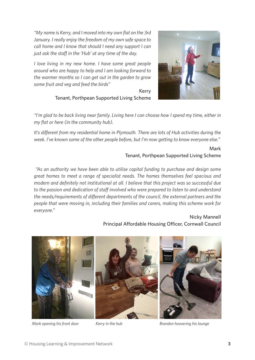*"My name is Kerry, and I moved into my own flat on the 3rd January. I really enjoy the freedom of my own safe space to call home and I know that should I need any support I can just ask the staff in the 'Hub' at any time of the day.*

*I love living in my new home. I have some great people around who are happy to help and I am looking forward to the warmer months so I can get out in the garden to grow some fruit and veg and feed the birds"*





*"I'm glad to be back living near family. Living here I can choose how I spend my time, either in my flat or here (in the community hub).*

*It's different from my residential home in Plymouth. There are lots of Hub activities during the week. I've known some of the other people before, but I'm now getting to know everyone else."* 

### Mark Tenant, Porthpean Supported Living Scheme

 *"As an authority we have been able to utilise capital funding to purchase and design some great homes to meet a range of specialist needs. The homes themselves feel spacious and modern and definitely not institutional at all. I believe that this project was so successful due to the passion and dedication of staff involved who were prepared to listen to and understand the needs/requirements of different departments of the council, the external partners and the people that were moving in, including their families and carers, making this scheme work for everyone."* 

#### Nicky Mannell Principal Affordable Housing Officer, Cornwall Council



*Mark opening his front door Kerry in the hub Brandon hoovering his lounge*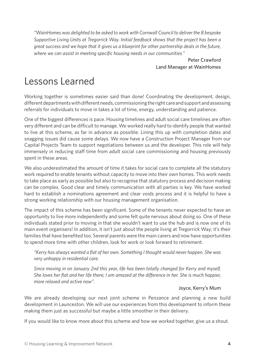*"WainHomes was delighted to be asked to work with Cornwall Council to deliver the 8 bespoke Supportive Living Units at Tregorrick Way. Initial feedback shows that the project has been a great success and we hope that it gives us a blueprint for other partnership deals in the future, where we can assist in meeting specific housing needs in our communities."*

> Peter Crawford Land Manager at WainHomes

### Lessons Learned

Working together is sometimes easier said than done! Coordinating the development, design, different departments with different needs, commissioning the right care and support and assessing referrals for individuals to move in takes a lot of time, energy, understanding and patience.

One of the biggest differences is pace. Housing timelines and adult social care timelines are often very different and can be difficult to manage. We worked really hard to identify people that wanted to live at this scheme, as far in advance as possible. Lining this up with completion dates and snagging issues did cause some delays. We now have a Construction Project Manager from our Capital Projects Team to support negotiations between us and the developer. This role will help immensely in reducing staff time from adult social care commissioning and housing previously spent in these areas.

We also underestimated the amount of time it takes for social care to complete all the statutory work required to enable tenants without capacity to move into their own homes. This work needs to take place as early as possible but also to recognise that statutory process and decision making can be complex. Good clear and timely communication with all parties is key. We have worked hard to establish a nominations agreement and clear voids process and it is helpful to have a strong working relationship with our housing management organisation.

The impact of this scheme has been significant. Some of the tenants never expected to have an opportunity to live more independently and some felt quite nervous about doing so. One of these individuals stated prior to moving in that she wouldn't want to use the hub and is now one of its main event organisers! In addition, it isn't just about the people living at Tregorrick Way; it's their families that have benefited too. Several parents were the main carers and now have opportunities to spend more time with other children, look for work or look forward to retirement.

*"Kerry has always wanted a flat of her own. Something I thought would never happen. She was very unhappy in residential care.*

*Since moving in on January 2nd this year, life has been totally changed for Kerry and myself. She loves her flat and her life there; I am amazed at the difference in her. She is much happier, more relaxed and active now".*

#### Joyce, Kerry's Mum

We are already developing our next joint scheme in Penzance and planning a new build development in Launceston. We will use our experiences from this development to inform these making them just as successful but maybe a little smoother in their delivery.

If you would like to know more about this scheme and how we worked together, give us a shout.